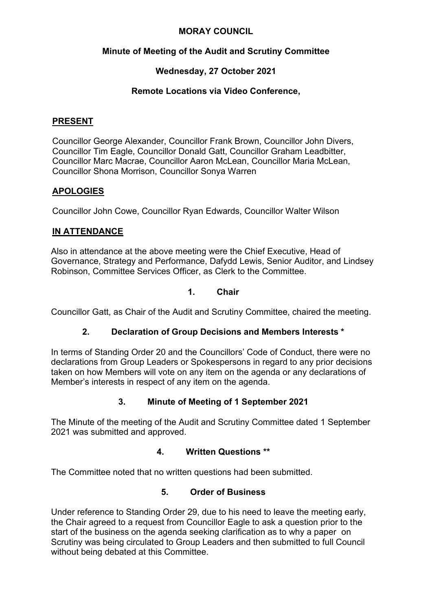#### **MORAY COUNCIL**

## **Minute of Meeting of the Audit and Scrutiny Committee**

# **Wednesday, 27 October 2021**

## **Remote Locations via Video Conference,**

#### **PRESENT**

Councillor George Alexander, Councillor Frank Brown, Councillor John Divers, Councillor Tim Eagle, Councillor Donald Gatt, Councillor Graham Leadbitter, Councillor Marc Macrae, Councillor Aaron McLean, Councillor Maria McLean, Councillor Shona Morrison, Councillor Sonya Warren

## **APOLOGIES**

Councillor John Cowe, Councillor Ryan Edwards, Councillor Walter Wilson

## **IN ATTENDANCE**

Also in attendance at the above meeting were the Chief Executive, Head of Governance, Strategy and Performance, Dafydd Lewis, Senior Auditor, and Lindsey Robinson, Committee Services Officer, as Clerk to the Committee.

#### **1. Chair**

Councillor Gatt, as Chair of the Audit and Scrutiny Committee, chaired the meeting.

## **2. Declaration of Group Decisions and Members Interests \***

In terms of Standing Order 20 and the Councillors' Code of Conduct, there were no declarations from Group Leaders or Spokespersons in regard to any prior decisions taken on how Members will vote on any item on the agenda or any declarations of Member's interests in respect of any item on the agenda.

## **3. Minute of Meeting of 1 September 2021**

The Minute of the meeting of the Audit and Scrutiny Committee dated 1 September 2021 was submitted and approved.

#### **4. Written Questions \*\***

The Committee noted that no written questions had been submitted.

## **5. Order of Business**

Under reference to Standing Order 29, due to his need to leave the meeting early, the Chair agreed to a request from Councillor Eagle to ask a question prior to the start of the business on the agenda seeking clarification as to why a paper on Scrutiny was being circulated to Group Leaders and then submitted to full Council without being debated at this Committee.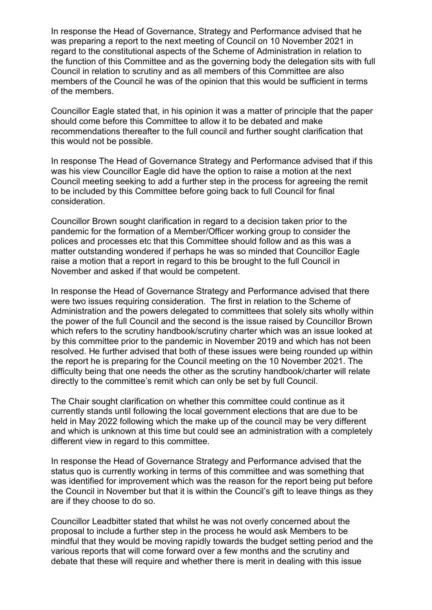In response the Head of Governance, Strategy and Performance advised that he was preparing a report to the next meeting of Council on 10 November 2021 in regard to the constitutional aspects of the Scheme of Administration in relation to the function of this Committee and as the governing body the delegation sits with full Council in relation to scrutiny and as all members of this Committee are also members of the Council he was of the opinion that this would be sufficient in terms of the members.

Councillor Eagle stated that, in his opinion it was a matter of principle that the paper should come before this Committee to allow it to be debated and make recommendations thereafter to the full council and further sought clarification that this would not be possible.

In response The Head of Governance Strategy and Performance advised that if this was his view Councillor Eagle did have the option to raise a motion at the next Council meeting seeking to add a further step in the process for agreeing the remit to be included by this Committee before going back to full Council for final consideration.

Councillor Brown sought clarification in regard to a decision taken prior to the pandemic for the formation of a Member/Officer working group to consider the polices and processes etc that this Committee should follow and as this was a matter outstanding wondered if perhaps he was so minded that Councillor Eagle raise a motion that a report in regard to this be brought to the full Council in November and asked if that would be competent.

In response the Head of Governance Strategy and Performance advised that there were two issues requiring consideration. The first in relation to the Scheme of Administration and the powers delegated to committees that solely sits wholly within the power of the full Council and the second is the issue raised by Councillor Brown which refers to the scrutiny handbook/scrutiny charter which was an issue looked at by this committee prior to the pandemic in November 2019 and which has not been resolved. He further advised that both of these issues were being rounded up within the report he is preparing for the Council meeting on the 10 November 2021. The difficulty being that one needs the other as the scrutiny handbook/charter will relate directly to the committee's remit which can only be set by full Council.

The Chair sought clarification on whether this committee could continue as it currently stands until following the local government elections that are due to be held in May 2022 following which the make up of the council may be very different and which is unknown at this time but could see an administration with a completely different view in regard to this committee.

In response the Head of Governance Strategy and Performance advised that the status quo is currently working in terms of this committee and was something that was identified for improvement which was the reason for the report being put before the Council in November but that it is within the Council's gift to leave things as they are if they choose to do so.

Councillor Leadbitter stated that whilst he was not overly concerned about the proposal to include a further step in the process he would ask Members to be mindful that they would be moving rapidly towards the budget setting period and the various reports that will come forward over a few months and the scrutiny and debate that these will require and whether there is merit in dealing with this issue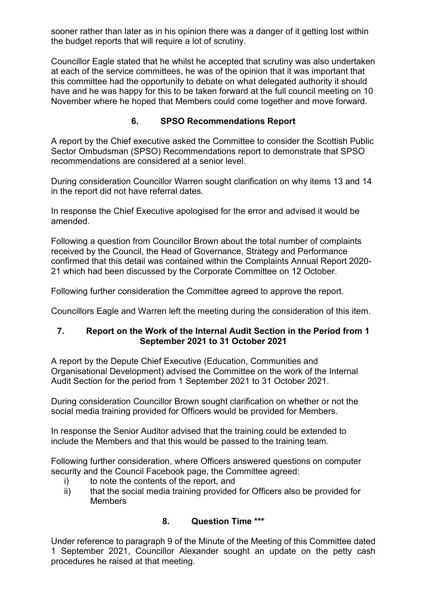sooner rather than later as in his opinion there was a danger of it getting lost within the budget reports that will require a lot of scrutiny.

Councillor Eagle stated that he whilst he accepted that scrutiny was also undertaken at each of the service committees, he was of the opinion that it was important that this committee had the opportunity to debate on what delegated authority it should have and he was happy for this to be taken forward at the full council meeting on 10 November where he hoped that Members could come together and move forward.

# **6. SPSO Recommendations Report**

A report by the Chief executive asked the Committee to consider the Scottish Public Sector Ombudsman (SPSO) Recommendations report to demonstrate that SPSO recommendations are considered at a senior level.

During consideration Councillor Warren sought clarification on why items 13 and 14 in the report did not have referral dates.

In response the Chief Executive apologised for the error and advised it would be amended.

Following a question from Councillor Brown about the total number of complaints received by the Council, the Head of Governance, Strategy and Performance confirmed that this detail was contained within the Complaints Annual Report 2020- 21 which had been discussed by the Corporate Committee on 12 October.

Following further consideration the Committee agreed to approve the report.

Councillors Eagle and Warren left the meeting during the consideration of this item.

## **7. Report on the Work of the Internal Audit Section in the Period from 1 September 2021 to 31 October 2021**

A report by the Depute Chief Executive (Education, Communities and Organisational Development) advised the Committee on the work of the Internal Audit Section for the period from 1 September 2021 to 31 October 2021.

During consideration Councillor Brown sought clarification on whether or not the social media training provided for Officers would be provided for Members.

In response the Senior Auditor advised that the training could be extended to include the Members and that this would be passed to the training team.

Following further consideration, where Officers answered questions on computer security and the Council Facebook page, the Committee agreed:

- i) to note the contents of the report, and
- ii) that the social media training provided for Officers also be provided for Members

## **8. Question Time \*\*\***

Under reference to paragraph 9 of the Minute of the Meeting of this Committee dated 1 September 2021, Councillor Alexander sought an update on the petty cash procedures he raised at that meeting.